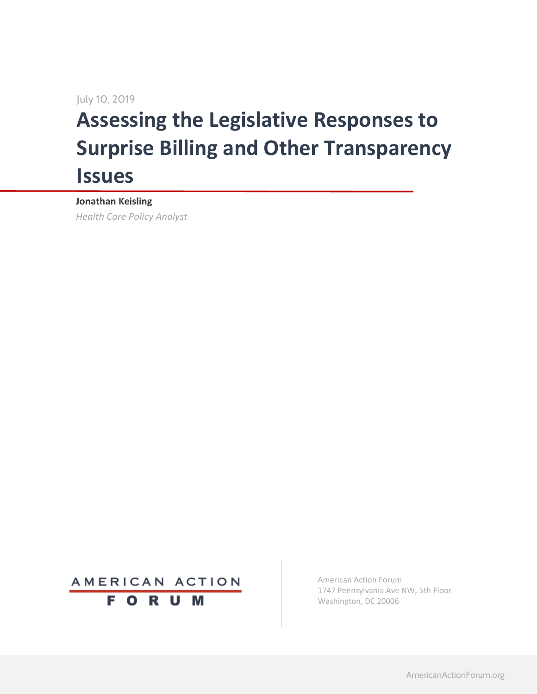July 10, 2019

# **Assessing the Legislative Responses to Surprise Billing and Other Transparency Issues**

**Jonathan Keisling**

*Health Care Policy Analyst*



American Action Forum 1747 Pennsylvania Ave NW, 5th Floor Washington, DC 20006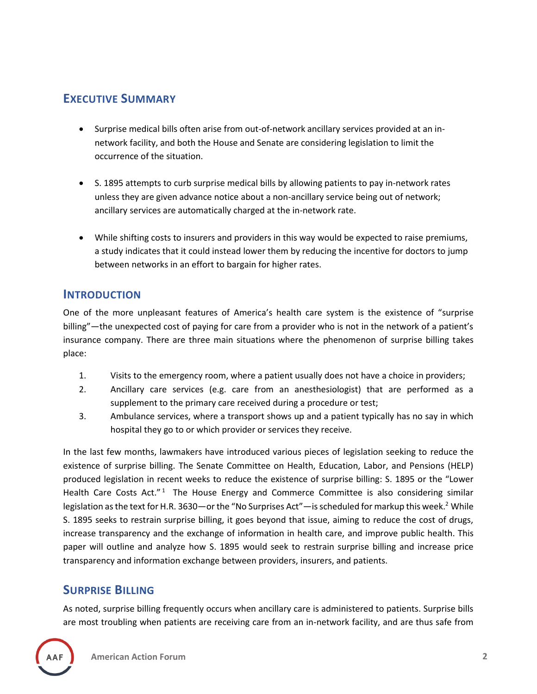## **EXECUTIVE SUMMARY**

- Surprise medical bills often arise from out-of-network ancillary services provided at an innetwork facility, and both the House and Senate are considering legislation to limit the occurrence of the situation.
- S. 1895 attempts to curb surprise medical bills by allowing patients to pay in-network rates unless they are given advance notice about a non-ancillary service being out of network; ancillary services are automatically charged at the in-network rate.
- While shifting costs to insurers and providers in this way would be expected to raise premiums, a study indicates that it could instead lower them by reducing the incentive for doctors to jump between networks in an effort to bargain for higher rates.

#### **INTRODUCTION**

One of the more unpleasant features of America's health care system is the existence of "surprise billing"—the unexpected cost of paying for care from a provider who is not in the network of a patient's insurance company. There are three main situations where the phenomenon of surprise billing takes place:

- 1. Visits to the emergency room, where a patient usually does not have a choice in providers;
- 2. Ancillary care services (e.g. care from an anesthesiologist) that are performed as a supplement to the primary care received during a procedure or test;
- 3. Ambulance services, where a transport shows up and a patient typically has no say in which hospital they go to or which provider or services they receive.

In the last few months, lawmakers have introduced various pieces of legislation seeking to reduce the existence of surprise billing. The Senate Committee on Health, Education, Labor, and Pensions (HELP) produced legislation in recent weeks to reduce the existence of surprise billing: S. 1895 or the "Lower Health Care Costs Act."<sup>1</sup> The House Energy and Commerce Committee is also considering similar legislation as the text for H.R. 3630—or the "No Surprises Act"—is scheduled for markup this week.<sup>2</sup> While S. 1895 seeks to restrain surprise billing, it goes beyond that issue, aiming to reduce the cost of drugs, increase transparency and the exchange of information in health care, and improve public health. This paper will outline and analyze how S. 1895 would seek to restrain surprise billing and increase price transparency and information exchange between providers, insurers, and patients.

## **SURPRISE BILLING**

As noted, surprise billing frequently occurs when ancillary care is administered to patients. Surprise bills are most troubling when patients are receiving care from an in-network facility, and are thus safe from

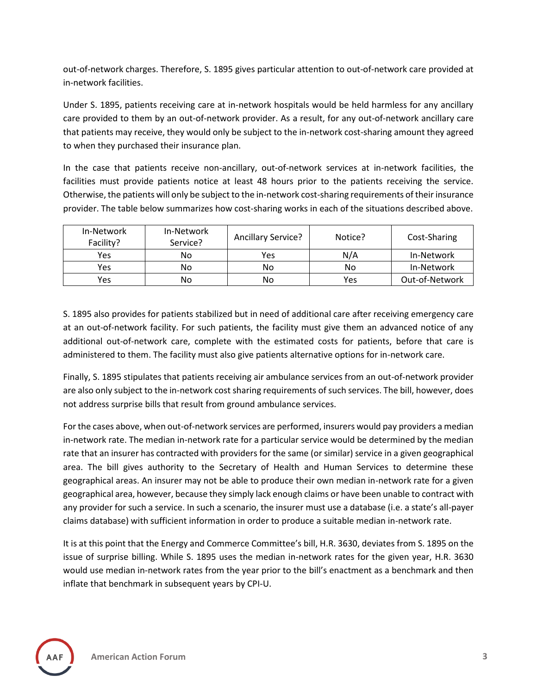out-of-network charges. Therefore, S. 1895 gives particular attention to out-of-network care provided at in-network facilities.

Under S. 1895, patients receiving care at in-network hospitals would be held harmless for any ancillary care provided to them by an out-of-network provider. As a result, for any out-of-network ancillary care that patients may receive, they would only be subject to the in-network cost-sharing amount they agreed to when they purchased their insurance plan.

In the case that patients receive non-ancillary, out-of-network services at in-network facilities, the facilities must provide patients notice at least 48 hours prior to the patients receiving the service. Otherwise, the patients will only be subject to the in-network cost-sharing requirements of their insurance provider. The table below summarizes how cost-sharing works in each of the situations described above.

| In-Network<br>Facility? | In-Network<br>Service? | Ancillary Service? | Notice? | Cost-Sharing   |
|-------------------------|------------------------|--------------------|---------|----------------|
| Yes                     | No                     | Yes                | N/A     | In-Network     |
| Yes                     | No                     | No                 | No      | In-Network     |
| Yes                     | No                     | No                 | Yes     | Out-of-Network |

S. 1895 also provides for patients stabilized but in need of additional care after receiving emergency care at an out-of-network facility. For such patients, the facility must give them an advanced notice of any additional out-of-network care, complete with the estimated costs for patients, before that care is administered to them. The facility must also give patients alternative options for in-network care.

Finally, S. 1895 stipulates that patients receiving air ambulance services from an out-of-network provider are also only subject to the in-network cost sharing requirements of such services. The bill, however, does not address surprise bills that result from ground ambulance services.

For the cases above, when out-of-network services are performed, insurers would pay providers a median in-network rate. The median in-network rate for a particular service would be determined by the median rate that an insurer has contracted with providers for the same (or similar) service in a given geographical area. The bill gives authority to the Secretary of Health and Human Services to determine these geographical areas. An insurer may not be able to produce their own median in-network rate for a given geographical area, however, because they simply lack enough claims or have been unable to contract with any provider for such a service. In such a scenario, the insurer must use a database (i.e. a state's all-payer claims database) with sufficient information in order to produce a suitable median in-network rate.

It is at this point that the Energy and Commerce Committee's bill, H.R. 3630, deviates from S. 1895 on the issue of surprise billing. While S. 1895 uses the median in-network rates for the given year, H.R. 3630 would use median in-network rates from the year prior to the bill's enactment as a benchmark and then inflate that benchmark in subsequent years by CPI-U.

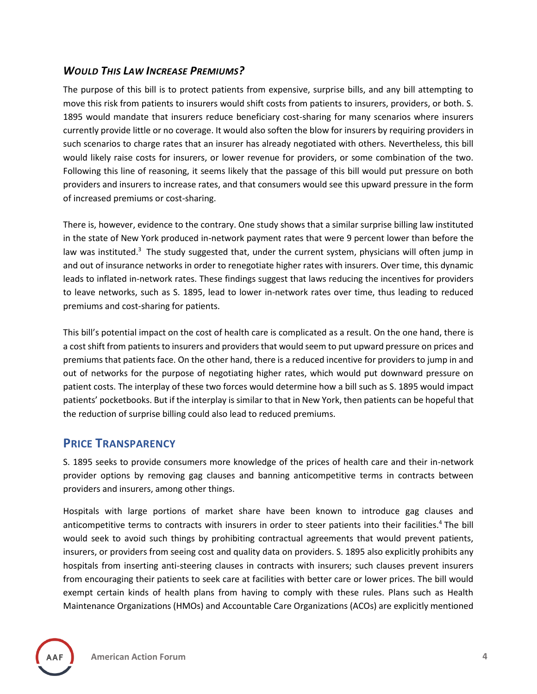## *WOULD THIS LAW INCREASE PREMIUMS?*

The purpose of this bill is to protect patients from expensive, surprise bills, and any bill attempting to move this risk from patients to insurers would shift costs from patients to insurers, providers, or both. S. 1895 would mandate that insurers reduce beneficiary cost-sharing for many scenarios where insurers currently provide little or no coverage. It would also soften the blow for insurers by requiring providers in such scenarios to charge rates that an insurer has already negotiated with others. Nevertheless, this bill would likely raise costs for insurers, or lower revenue for providers, or some combination of the two. Following this line of reasoning, it seems likely that the passage of this bill would put pressure on both providers and insurers to increase rates, and that consumers would see this upward pressure in the form of increased premiums or cost-sharing.

There is, however, evidence to the contrary. One study shows that a similar surprise billing law instituted in the state of New York produced in-network payment rates that were 9 percent lower than before the law was instituted.<sup>3</sup> The study suggested that, under the current system, physicians will often jump in and out of insurance networks in order to renegotiate higher rates with insurers. Over time, this dynamic leads to inflated in-network rates. These findings suggest that laws reducing the incentives for providers to leave networks, such as S. 1895, lead to lower in-network rates over time, thus leading to reduced premiums and cost-sharing for patients.

This bill's potential impact on the cost of health care is complicated as a result. On the one hand, there is a cost shift from patients to insurers and providers that would seem to put upward pressure on prices and premiums that patients face. On the other hand, there is a reduced incentive for providers to jump in and out of networks for the purpose of negotiating higher rates, which would put downward pressure on patient costs. The interplay of these two forces would determine how a bill such as S. 1895 would impact patients' pocketbooks. But if the interplay is similar to that in New York, then patients can be hopeful that the reduction of surprise billing could also lead to reduced premiums.

#### **PRICE TRANSPARENCY**

S. 1895 seeks to provide consumers more knowledge of the prices of health care and their in-network provider options by removing gag clauses and banning anticompetitive terms in contracts between providers and insurers, among other things.

Hospitals with large portions of market share have been known to introduce gag clauses and anticompetitive terms to contracts with insurers in order to steer patients into their facilities.<sup>4</sup> The bill would seek to avoid such things by prohibiting contractual agreements that would prevent patients, insurers, or providers from seeing cost and quality data on providers. S. 1895 also explicitly prohibits any hospitals from inserting anti-steering clauses in contracts with insurers; such clauses prevent insurers from encouraging their patients to seek care at facilities with better care or lower prices. The bill would exempt certain kinds of health plans from having to comply with these rules. Plans such as Health Maintenance Organizations (HMOs) and Accountable Care Organizations (ACOs) are explicitly mentioned